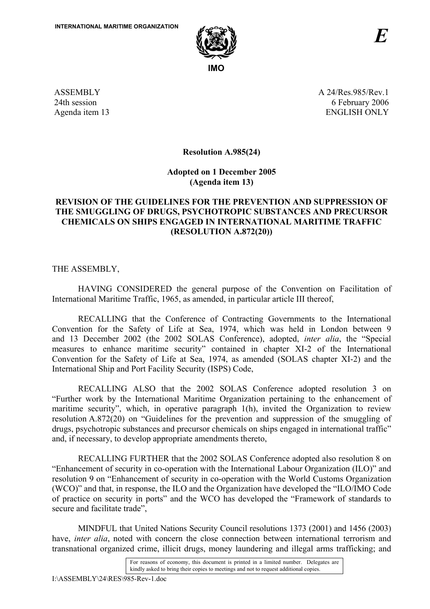

ASSEMBLY 24th session Agenda item 13 A 24/Res.985/Rev.1 6 February 2006 ENGLISH ONLY

**Resolution A.985(24)** 

**Adopted on 1 December 2005 (Agenda item 13)** 

## **REVISION OF THE GUIDELINES FOR THE PREVENTION AND SUPPRESSION OF THE SMUGGLING OF DRUGS, PSYCHOTROPIC SUBSTANCES AND PRECURSOR CHEMICALS ON SHIPS ENGAGED IN INTERNATIONAL MARITIME TRAFFIC (RESOLUTION A.872(20))**

THE ASSEMBLY,

HAVING CONSIDERED the general purpose of the Convention on Facilitation of International Maritime Traffic, 1965, as amended, in particular article III thereof,

RECALLING that the Conference of Contracting Governments to the International Convention for the Safety of Life at Sea, 1974, which was held in London between 9 and 13 December 2002 (the 2002 SOLAS Conference), adopted, *inter alia*, the "Special measures to enhance maritime security" contained in chapter XI-2 of the International Convention for the Safety of Life at Sea, 1974, as amended (SOLAS chapter XI-2) and the International Ship and Port Facility Security (ISPS) Code,

RECALLING ALSO that the 2002 SOLAS Conference adopted resolution 3 on ìFurther work by the International Maritime Organization pertaining to the enhancement of maritime security", which, in operative paragraph 1(h), invited the Organization to review resolution  $A.872(20)$  on "Guidelines for the prevention and suppression of the smuggling of drugs, psychotropic substances and precursor chemicals on ships engaged in international traffic" and, if necessary, to develop appropriate amendments thereto,

RECALLING FURTHER that the 2002 SOLAS Conference adopted also resolution 8 on ìEnhancement of security in co-operation with the International Labour Organization (ILO)î and resolution 9 on "Enhancement of security in co-operation with the World Customs Organization  $(WCO)$ <sup>n</sup> and that, in response, the ILO and the Organization have developed the  $HCO/IMO$  Code of practice on security in ports" and the WCO has developed the "Framework of standards to secure and facilitate trade".

MINDFUL that United Nations Security Council resolutions 1373 (2001) and 1456 (2003) have, *inter alia*, noted with concern the close connection between international terrorism and transnational organized crime, illicit drugs, money laundering and illegal arms trafficking; and